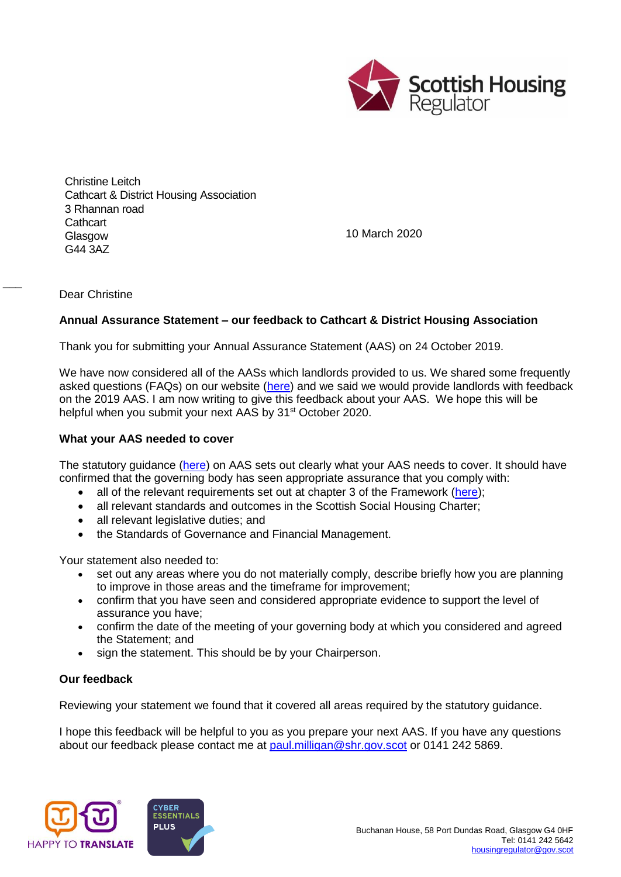

Christine Leitch Cathcart & District Housing Association 3 Rhannan road **Cathcart** Glasgow G44 3AZ

10 March 2020

Dear Christine

 $\overline{\phantom{a}}$ 

## **Annual Assurance Statement – our feedback to Cathcart & District Housing Association**

Thank you for submitting your Annual Assurance Statement (AAS) on 24 October 2019.

We have now considered all of the AASs which landlords provided to us. We shared some frequently asked questions (FAQs) on our website [\(here\)](https://www.housingregulator.gov.scot/for-landlords/advisory-guidance/technical-guidance/annual-assurance-statements-your-frequently-asked-questions) and we said we would provide landlords with feedback on the 2019 AAS. I am now writing to give this feedback about your AAS. We hope this will be helpful when you submit your next AAS by 31<sup>st</sup> October 2020.

## **What your AAS needed to cover**

The statutory guidance [\(here\)](https://www.housingregulator.gov.scot/for-landlords/statutory-guidance/annual-assurance-statement#section-4) on AAS sets out clearly what your AAS needs to cover. It should have confirmed that the governing body has seen appropriate assurance that you comply with:

- all of the relevant requirements set out at chapter 3 of the Framework [\(here\)](https://www.housingregulator.gov.scot/for-landlords/regulatory-framework#section-3);
- all relevant standards and outcomes in the Scottish Social Housing Charter;
- all relevant legislative duties; and
- the Standards of Governance and Financial Management.

Your statement also needed to:

- set out any areas where you do not materially comply, describe briefly how you are planning to improve in those areas and the timeframe for improvement;
- confirm that you have seen and considered appropriate evidence to support the level of assurance you have;
- confirm the date of the meeting of your governing body at which you considered and agreed the Statement; and
- sign the statement. This should be by your Chairperson.

## **Our feedback**

Reviewing your statement we found that it covered all areas required by the statutory guidance.

I hope this feedback will be helpful to you as you prepare your next AAS. If you have any questions about our feedback please contact me at [paul.milligan@shr.gov.scot](mailto:paul.milligan@shr.gov.scot) or 0141 242 5869.